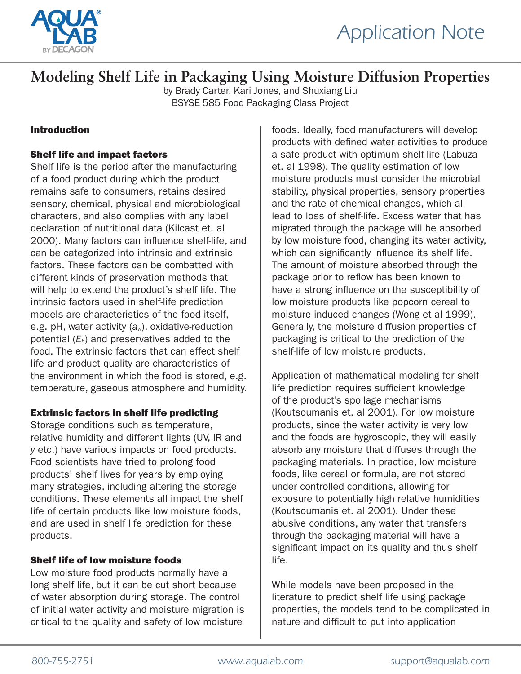

### **Modeling Shelf Life in Packaging Using Moisture Diffusion Properties**

by Brady Carter, Kari Jones, and Shuxiang Liu BSYSE 585 Food Packaging Class Project

#### Introduction

#### Shelf life and impact factors

Shelf life is the period after the manufacturing of a food product during which the product remains safe to consumers, retains desired sensory, chemical, physical and microbiological characters, and also complies with any label declaration of nutritional data (Kilcast et. al 2000). Many factors can influence shelf-life, and can be categorized into intrinsic and extrinsic factors. These factors can be combatted with different kinds of preservation methods that will help to extend the product's shelf life. The intrinsic factors used in shelf-life prediction models are characteristics of the food itself, e.g. pH, water activity (*aw*), oxidative-reduction potential (*Eh*) and preservatives added to the food. The extrinsic factors that can effect shelf life and product quality are characteristics of the environment in which the food is stored, e.g. temperature, gaseous atmosphere and humidity.

#### Extrinsic factors in shelf life predicting

Storage conditions such as temperature, relative humidity and different lights (UV, IR and *y* etc.) have various impacts on food products. Food scientists have tried to prolong food products' shelf lives for years by employing many strategies, including altering the storage conditions. These elements all impact the shelf life of certain products like low moisture foods, and are used in shelf life prediction for these products.

#### Shelf life of low moisture foods

Low moisture food products normally have a long shelf life, but it can be cut short because of water absorption during storage. The control of initial water activity and moisture migration is critical to the quality and safety of low moisture

foods. Ideally, food manufacturers will develop products with defined water activities to produce a safe product with optimum shelf-life (Labuza et. al 1998). The quality estimation of low moisture products must consider the microbial stability, physical properties, sensory properties and the rate of chemical changes, which all lead to loss of shelf-life. Excess water that has migrated through the package will be absorbed by low moisture food, changing its water activity, which can significantly influence its shelf life. The amount of moisture absorbed through the package prior to reflow has been known to have a strong influence on the susceptibility of low moisture products like popcorn cereal to moisture induced changes (Wong et al 1999). Generally, the moisture diffusion properties of packaging is critical to the prediction of the shelf-life of low moisture products.

Application of mathematical modeling for shelf life prediction requires sufficient knowledge of the product's spoilage mechanisms (Koutsoumanis et. al 2001). For low moisture products, since the water activity is very low and the foods are hygroscopic, they will easily absorb any moisture that diffuses through the packaging materials. In practice, low moisture foods, like cereal or formula, are not stored under controlled conditions, allowing for exposure to potentially high relative humidities (Koutsoumanis et. al 2001). Under these abusive conditions, any water that transfers through the packaging material will have a significant impact on its quality and thus shelf life.

While models have been proposed in the literature to predict shelf life using package properties, the models tend to be complicated in nature and difficult to put into application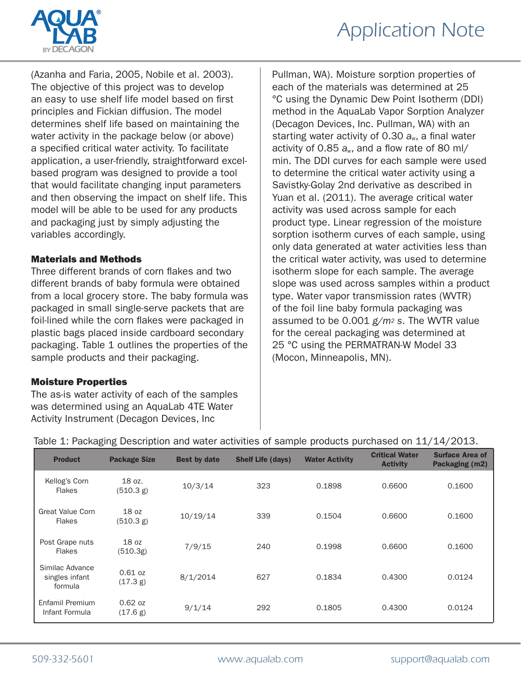

(Azanha and Faria, 2005, Nobile et al. 2003). The objective of this project was to develop an easy to use shelf life model based on first principles and Fickian diffusion. The model determines shelf life based on maintaining the water activity in the package below (or above) a specified critical water activity. To facilitate application, a user-friendly, straightforward excelbased program was designed to provide a tool that would facilitate changing input parameters and then observing the impact on shelf life. This model will be able to be used for any products and packaging just by simply adjusting the variables accordingly.

#### Materials and Methods

Three different brands of corn flakes and two different brands of baby formula were obtained from a local grocery store. The baby formula was packaged in small single-serve packets that are foil-lined while the corn flakes were packaged in plastic bags placed inside cardboard secondary packaging. Table 1 outlines the properties of the sample products and their packaging.

#### Moisture Properties

The as-is water activity of each of the samples was determined using an AquaLab 4TE Water Activity Instrument (Decagon Devices, Inc

Pullman, WA). Moisture sorption properties of each of the materials was determined at 25 °C using the Dynamic Dew Point Isotherm (DDI) method in the AquaLab Vapor Sorption Analyzer (Decagon Devices, Inc. Pullman, WA) with an starting water activity of 0.30 *aw*, a final water activity of 0.85 *aw*, and a flow rate of 80 ml/ min. The DDI curves for each sample were used to determine the critical water activity using a Savistky-Golay 2nd derivative as described in Yuan et al. (2011). The average critical water activity was used across sample for each product type. Linear regression of the moisture sorption isotherm curves of each sample, using only data generated at water activities less than the critical water activity, was used to determine isotherm slope for each sample. The average slope was used across samples within a product type. Water vapor transmission rates (WVTR) of the foil line baby formula packaging was assumed to be 0.001 *g/m2 s*. The WVTR value for the cereal packaging was determined at 25 °C using the PERMATRAN-W Model 33 (Mocon, Minneapolis, MN).

| <b>Product</b>                               | <b>Package Size</b>   | <b>Best by date</b> | <b>Shelf Life (days)</b> | <b>Water Activity</b> | <b>Critical Water</b><br><b>Activity</b> | <b>Surface Area of</b><br>Packaging (m2) |
|----------------------------------------------|-----------------------|---------------------|--------------------------|-----------------------|------------------------------------------|------------------------------------------|
| Kellog's Corn<br><b>Flakes</b>               | 18 oz.<br>(510.3 g)   | 10/3/14             | 323                      | 0.1898                | 0.6600                                   | 0.1600                                   |
| <b>Great Value Corn</b><br>Flakes            | 18 oz<br>(510.3 g)    | 10/19/14            | 339                      | 0.1504                | 0.6600                                   | 0.1600                                   |
| Post Grape nuts<br><b>Flakes</b>             | 18 oz<br>(510.3g)     | 7/9/15              | 240                      | 0.1998                | 0.6600                                   | 0.1600                                   |
| Similac Advance<br>singles infant<br>formula | $0.61$ oz<br>(17.3 g) | 8/1/2014            | 627                      | 0.1834                | 0.4300                                   | 0.0124                                   |
| Enfamil Premium<br>Infant Formula            | $0.62$ oz<br>(17.6 g) | 9/1/14              | 292                      | 0.1805                | 0.4300                                   | 0.0124                                   |

#### Table 1: Packaging Description and water activities of sample products purchased on 11/14/2013.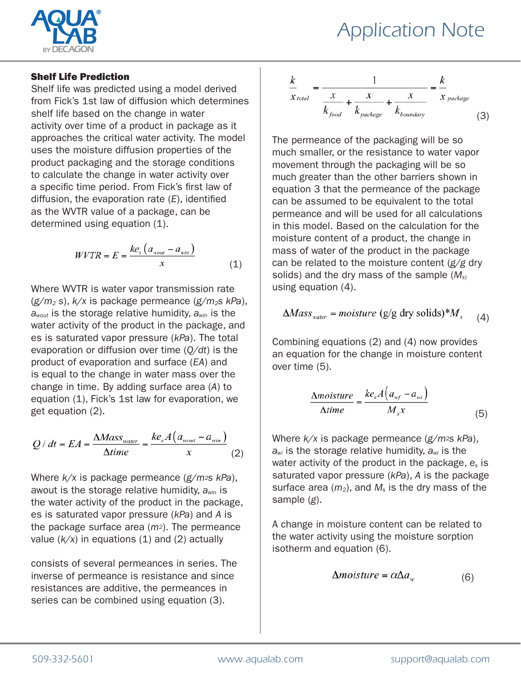

#### Shelf Life Prediction

Shelf life was predicted using a model derived from Fick's 1st law of diffusion which determines shelf life based on the change in water activity over time of a product in package as it approaches the critical water activity. The model uses the moisture diffusion properties of the product packaging and the storage conditions to calculate the change in water activity over a specific time period. From Fick's first law of diffusion, the evaporation rate (*E*), identified as the WVTR value of a package, can be determined using equation (1).

$$
WVTR = E = \frac{ke_s (a_{wout} - a_{win})}{x}
$$
 (1)

Where WVTR is water vapor transmission rate (*g/m2 s*), *k/x* is package permeance (*g/m2s kPa*), *awout* is the storage relative humidity, *awin* is the water activity of the product in the package, and es is saturated vapor pressure (*kPa*). The total evaporation or diffusion over time (*Q/dt*) is the product of evaporation and surface (*EA*) and is equal to the change in water mass over the change in time. By adding surface area (*A*) to equation (1), Fick's 1st law for evaporation, we get equation (2).

$$
Q/dt = EA = \frac{\Delta Mass_{water}}{\Delta time} = \frac{ke_s A(a_{wout} - a_{win})}{x}
$$
 (2)

Where *k/x* is package permeance (*g/m2s kPa*), awout is the storage relative humidity, *awin* is the water activity of the product in the package, es is saturated vapor pressure (*kPa*) and *A* is the package surface area (*m2*). The permeance value  $(k/x)$  in equations  $(1)$  and  $(2)$  actually

consists of several permeances in series. The inverse of permeance is resistance and since resistances are additive, the permeances in series can be combined using equation (3).

$$
\frac{k}{x_{total}} = \frac{1}{\frac{x}{k_{food} + \frac{x}{k_{package}} + \frac{x}{k_{boundary}}} = \frac{k}{x_{package}}
$$
(3)

The permeance of the packaging will be so much smaller, or the resistance to water vapor movement through the packaging will be so much greater than the other barriers shown in equation 3 that the permeance of the package can be assumed to be equivalent to the total permeance and will be used for all calculations in this model. Based on the calculation for the moisture content of a product, the change in mass of water of the product in the package can be related to the moisture content (*g/g* dry solids) and the dry mass of the sample (*Ms*) using equation (4).

$$
\Delta Mass_{\text{water}} = moisture (g/g dry solids)*M_s \quad (4)
$$

Combining equations (2) and (4) now provides an equation for the change in moisture content over time (5).

$$
\frac{\Delta moisture}{\Delta time} = \frac{ke_s A\left(a_{wf} - a_{wi}\right)}{M_s x}
$$
(5)

Where *k/x* is package permeance (*g/m2s kPa*), *awi* is the storage relative humidity, *awi* is the water activity of the product in the package, *es* is saturated vapor pressure (*kPa*), *A* is the package surface area  $(m_2)$ , and  $M_s$  is the dry mass of the sample (*g*).

A change in moisture content can be related to the water activity using the moisture sorption isotherm and equation (6).

$$
\Delta moisture = \alpha \Delta a_w \tag{6}
$$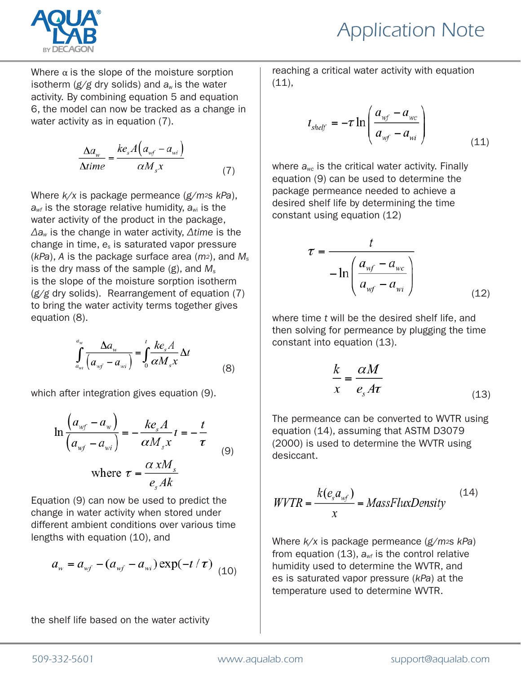

Where  $\alpha$  is the slope of the moisture sorption isotherm (*g/g* dry solids) and *aw* is the water activity. By combining equation 5 and equation 6, the model can now be tracked as a change in water activity as in equation (7).

$$
\frac{\Delta a_{w}}{\Delta time} = \frac{ke_{s}A(a_{wf} - a_{wi})}{\alpha M_{s}x}
$$
\n(7)

Where *k/x* is package permeance (*g/m2s kPa*), *awf* is the storage relative humidity, *aw*i is the water activity of the product in the package, *Δaw* is the change in water activity, *Δtime* is the change in time, *es* is saturated vapor pressure (*kPa*), *A* is the package surface area (*m2*), and *Ms* is the dry mass of the sample (g), and *Ms* is the slope of the moisture sorption isotherm (*g/g* dry solids). Rearrangement of equation (7) to bring the water activity terms together gives equation (8).

$$
\int_{a_{wi}}^{a_w} \frac{\Delta a_w}{\left(a_{wf} - a_{wi}\right)} = \int_0^t \frac{k e_s A}{\alpha M_s x} \Delta t
$$
\n(8)

which after integration gives equation (9).

$$
\ln \frac{\left(a_{wf} - a_{w}\right)}{\left(a_{wf} - a_{wi}\right)} = -\frac{ke_{s}A}{\alpha M_{s}x}t = -\frac{t}{\tau}
$$
\n(9)

\nwhere  $\tau = \frac{\alpha xM_{s}}{e_{s}Ak}$ 

Equation (9) can now be used to predict the change in water activity when stored under different ambient conditions over various time lengths with equation (10), and

$$
a_w = a_{wf} - (a_{wf} - a_{wi}) \exp(-t/\tau) \tag{10}
$$

the shelf life based on the water activity

reaching a critical water activity with equation  $(11),$ 

$$
t_{shelf} = -\tau \ln \left( \frac{a_{wf} - a_{wc}}{a_{wf} - a_{wi}} \right)
$$
\n(11)

where *awc* is the critical water activity. Finally equation (9) can be used to determine the package permeance needed to achieve a desired shelf life by determining the time constant using equation (12)

$$
\tau = \frac{t}{-\ln\left(\frac{a_{wf} - a_{wc}}{a_{wf} - a_{wi}}\right)}
$$
(12)

where time *t* will be the desired shelf life, and then solving for permeance by plugging the time constant into equation (13).

$$
\frac{k}{x} = \frac{\alpha M}{e_s A \tau} \tag{13}
$$

The permeance can be converted to WVTR using equation (14), assuming that ASTM D3079 (2000) is used to determine the WVTR using desiccant.

$$
WVTR = \frac{k(e_s a_{wf})}{x} = MassFluxDensity \tag{14}
$$

Where *k/x* is package permeance (*g/m2s kPa*) from equation  $(13)$ ,  $a_{wf}$  is the control relative humidity used to determine the WVTR, and es is saturated vapor pressure (*kPa*) at the temperature used to determine WVTR.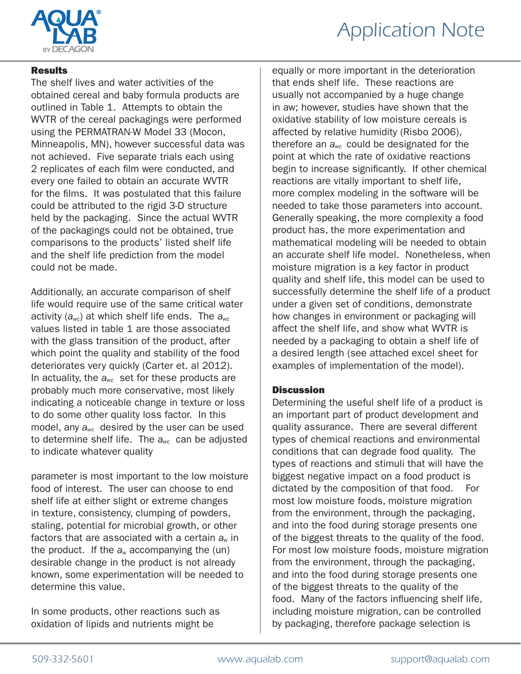

#### **Results**

The shelf lives and water activities of the obtained cereal and baby formula products are outlined in Table 1. Attempts to obtain the WVTR of the cereal packagings were performed using the PERMATRAN-W Model 33 (Mocon, Minneapolis, MN), however successful data was not achieved. Five separate trials each using 2 replicates of each film were conducted, and every one failed to obtain an accurate WVTR for the films. It was postulated that this failure could be attributed to the rigid 3-D structure held by the packaging. Since the actual WVTR of the packagings could not be obtained, true comparisons to the products' listed shelf life and the shelf life prediction from the model could not be made.

Additionally, an accurate comparison of shelf life would require use of the same critical water activity (*awc*) at which shelf life ends. The *awc*  values listed in table 1 are those associated with the glass transition of the product, after which point the quality and stability of the food deteriorates very quickly (Carter et. al 2012). In actuality, the *awc* set for these products are probably much more conservative, most likely indicating a noticeable change in texture or loss to do some other quality loss factor. In this model, any *awc* desired by the user can be used to determine shelf life. The *awc* can be adjusted to indicate whatever quality

parameter is most important to the low moisture food of interest. The user can choose to end shelf life at either slight or extreme changes in texture, consistency, clumping of powders, staling, potential for microbial growth, or other factors that are associated with a certain *aw* in the product. If the  $a_w$  accompanying the (un) desirable change in the product is not already known, some experimentation will be needed to determine this value.

In some products, other reactions such as oxidation of lipids and nutrients might be

equally or more important in the deterioration that ends shelf life. These reactions are usually not accompanied by a huge change in aw; however, studies have shown that the oxidative stability of low moisture cereals is affected by relative humidity (Risbo 2006), therefore an *awc* could be designated for the point at which the rate of oxidative reactions begin to increase significantly. If other chemical reactions are vitally important to shelf life, more complex modeling in the software will be needed to take those parameters into account. Generally speaking, the more complexity a food product has, the more experimentation and mathematical modeling will be needed to obtain an accurate shelf life model. Nonetheless, when moisture migration is a key factor in product quality and shelf life, this model can be used to successfully determine the shelf life of a product under a given set of conditions, demonstrate how changes in environment or packaging will affect the shelf life, and show what WVTR is needed by a packaging to obtain a shelf life of a desired length (see attached excel sheet for examples of implementation of the model).

#### **Discussion**

Determining the useful shelf life of a product is an important part of product development and quality assurance. There are several different types of chemical reactions and environmental conditions that can degrade food quality. The types of reactions and stimuli that will have the biggest negative impact on a food product is dictated by the composition of that food. For most low moisture foods, moisture migration from the environment, through the packaging, and into the food during storage presents one of the biggest threats to the quality of the food. For most low moisture foods, moisture migration from the environment, through the packaging, and into the food during storage presents one of the biggest threats to the quality of the food. Many of the factors influencing shelf life, including moisture migration, can be controlled by packaging, therefore package selection is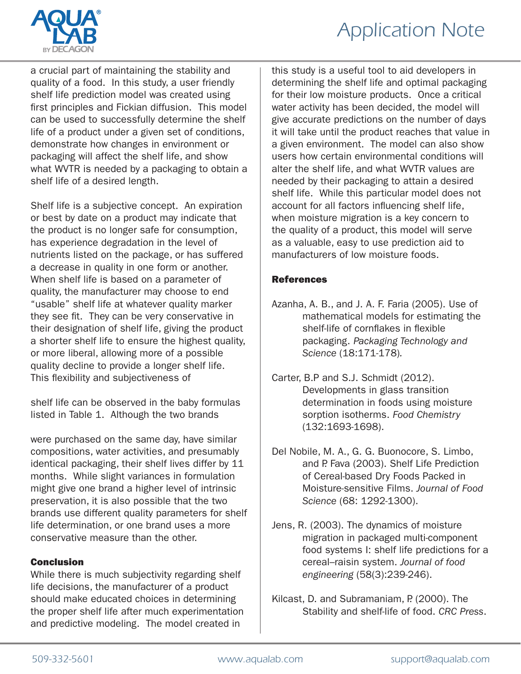

a crucial part of maintaining the stability and quality of a food. In this study, a user friendly shelf life prediction model was created using first principles and Fickian diffusion. This model can be used to successfully determine the shelf life of a product under a given set of conditions, demonstrate how changes in environment or packaging will affect the shelf life, and show what WVTR is needed by a packaging to obtain a shelf life of a desired length.

Shelf life is a subjective concept. An expiration or best by date on a product may indicate that the product is no longer safe for consumption, has experience degradation in the level of nutrients listed on the package, or has suffered a decrease in quality in one form or another. When shelf life is based on a parameter of quality, the manufacturer may choose to end "usable" shelf life at whatever quality marker they see fit. They can be very conservative in their designation of shelf life, giving the product a shorter shelf life to ensure the highest quality, or more liberal, allowing more of a possible quality decline to provide a longer shelf life. This flexibility and subjectiveness of

shelf life can be observed in the baby formulas listed in Table 1. Although the two brands

were purchased on the same day, have similar compositions, water activities, and presumably identical packaging, their shelf lives differ by 11 months. While slight variances in formulation might give one brand a higher level of intrinsic preservation, it is also possible that the two brands use different quality parameters for shelf life determination, or one brand uses a more conservative measure than the other.

#### Conclusion

While there is much subjectivity regarding shelf life decisions, the manufacturer of a product should make educated choices in determining the proper shelf life after much experimentation and predictive modeling. The model created in

this study is a useful tool to aid developers in determining the shelf life and optimal packaging for their low moisture products. Once a critical water activity has been decided, the model will give accurate predictions on the number of days it will take until the product reaches that value in a given environment. The model can also show users how certain environmental conditions will alter the shelf life, and what WVTR values are needed by their packaging to attain a desired shelf life. While this particular model does not account for all factors influencing shelf life, when moisture migration is a key concern to the quality of a product, this model will serve as a valuable, easy to use prediction aid to manufacturers of low moisture foods.

#### References

- Azanha, A. B., and J. A. F. Faria (2005). Use of mathematical models for estimating the shelf-life of cornflakes in flexible packaging. *Packaging Technology and Science* (18:171-178)*.*
- Carter, B.P and S.J. Schmidt (2012). Developments in glass transition determination in foods using moisture sorption isotherms. *Food Chemistry* (132:1693-1698).
- Del Nobile, M. A., G. G. Buonocore, S. Limbo, and P. Fava (2003). Shelf Life Prediction of Cereal-based Dry Foods Packed in Moisture-sensitive Films. *Journal of Food Science* (68: 1292-1300).
- Jens, R. (2003). The dynamics of moisture migration in packaged multi-component food systems I: shelf life predictions for a cereal–raisin system. *Journal of food engineering* (58(3):239-246).
- Kilcast, D. and Subramaniam, P. (2000). The Stability and shelf-life of food. *CRC Press*.